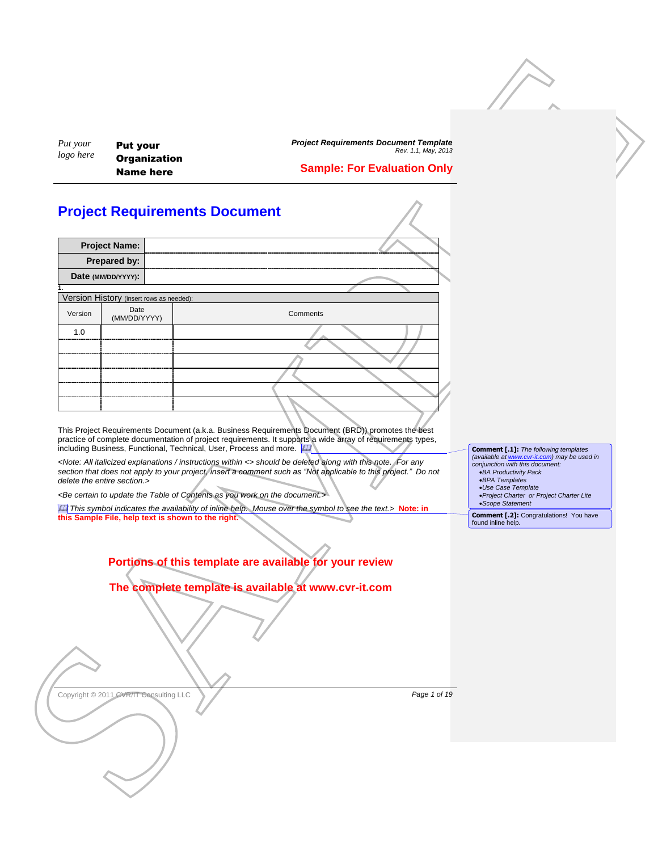Put your **Organization** Name here

*Project Requirements Document Template Rev. 1.1, May, 2013* **Sample: For Evaluation Only**

## <span id="page-0-0"></span>**Project Requirements Document**

| <b>Project Name:</b> |                                          |  |          |
|----------------------|------------------------------------------|--|----------|
| Prepared by:         |                                          |  |          |
| Date (MM/DD/YYYY):   |                                          |  |          |
|                      |                                          |  |          |
|                      | Version History (insert rows as needed): |  |          |
| Version              | Date<br>(MM/DD/YYYY)                     |  | Comments |
| 1.0<br>              |                                          |  |          |
|                      |                                          |  |          |
|                      |                                          |  |          |
|                      |                                          |  |          |
|                      |                                          |  |          |
|                      |                                          |  |          |
|                      |                                          |  |          |

This Project Requirements Document (a.k.a. Business Requirements Document (BRD)) promotes the best practice of complete documentation of project requirements. It supports a wide array of requirements types, including Business, Functional, Technical, User, Process and more. [41]

*<Note: All italicized explanations / instructions within <> should be deleted along with this note. For any*  section that does not apply to your project, insert a comment such as "Not applicable to this project." Do not *delete the entire section.>*

*<Be certain to update the Table of Contents as you work on the document.>*

*This symbol indicates the availability of inline help. Mouse over the symbol to see the text.> Note: in* **this Sample File, help text is shown to the right.** 

| <b>Comment [.1]:</b> The following templates |
|----------------------------------------------|
| (available at www.cvr-it.com) may be used in |
| conjunction with this document:              |
| •BA Productivity Pack                        |
| •BPA Templates                               |
| •Use Case Template                           |
| · Project Charter or Project Charter Lite    |
| • Scope Statement                            |

**Comment [.2]:** Congratulations! You have found inline help.

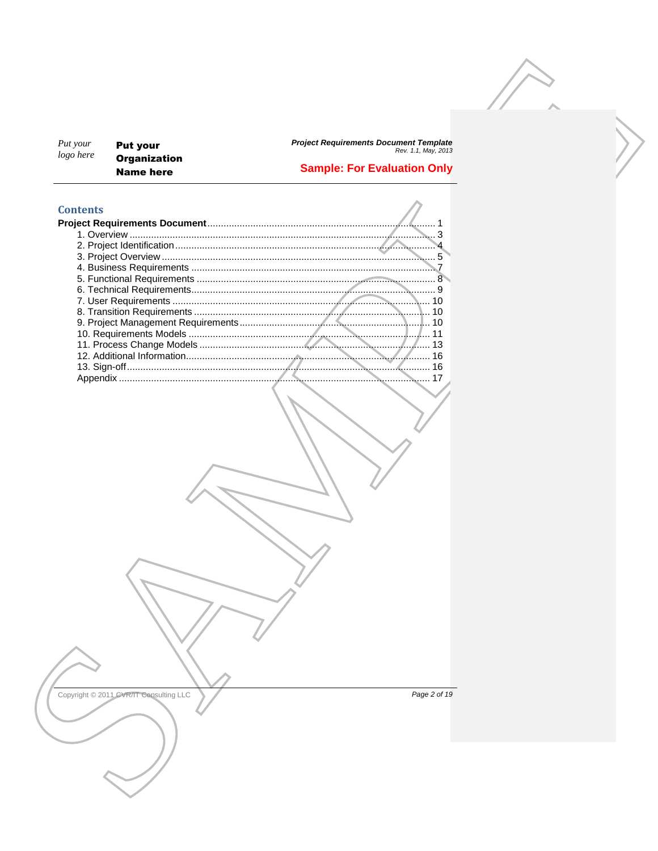| Put your  | <b>Put your</b>     |
|-----------|---------------------|
| logo here | <b>Organization</b> |
|           | Name here           |

Project Requirements Document Template<br>Rev. 1.1, May, 2013

## **Sample: For Evaluation Only**

## **Contents**

| Contents |    |
|----------|----|
|          |    |
|          |    |
|          |    |
|          |    |
|          |    |
|          |    |
|          |    |
|          |    |
|          |    |
|          | 10 |
|          |    |
|          |    |
|          |    |
|          | 16 |
| Appendix |    |
|          |    |

Copyright © 2011 CVR/IT Consulting LLC

Page 2 of 19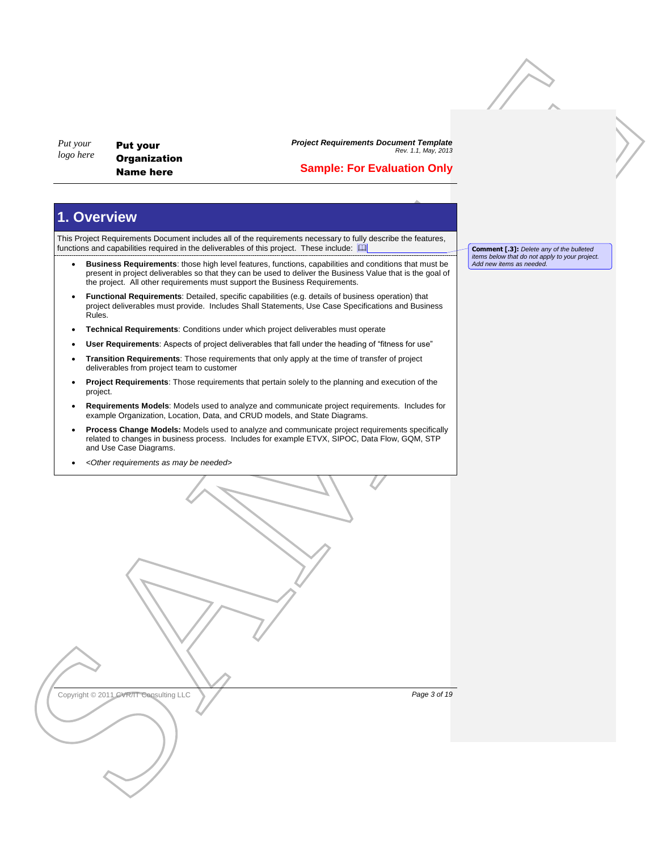Put your **Organization** Name here

*Project Requirements Document Template Rev. 1.1, May, 2013*

## **Sample: For Evaluation Only**

# <span id="page-2-0"></span>**1. Overview**

This Project Requirements Document includes all of the requirements necessary to fully describe the features, functions and capabilities required in the deliverables of this project. These include:

- **Business Requirements**: those high level features, functions, capabilities and conditions that must be present in project deliverables so that they can be used to deliver the Business Value that is the goal of the project. All other requirements must support the Business Requirements.
- **Functional Requirements**: Detailed, specific capabilities (e.g. details of business operation) that project deliverables must provide. Includes Shall Statements, Use Case Specifications and Business Rules.
- **Technical Requirements**: Conditions under which project deliverables must operate
- **User Requirements**: Aspects of project deliverables that fall under the heading of "fitness for use"
- **Transition Requirements**: Those requirements that only apply at the time of transfer of project deliverables from project team to customer
- **Project Requirements**: Those requirements that pertain solely to the planning and execution of the project.
- **Requirements Models**: Models used to analyze and communicate project requirements. Includes for example Organization, Location, Data, and CRUD models, and State Diagrams.
- **Process Change Models:** Models used to analyze and communicate project requirements specifically related to changes in business process. Includes for example ETVX, SIPOC, Data Flow, GQM, STP and Use Case Diagrams.
- *<Other requirements as may be needed>*

**Comment [.3]:** *Delete any of the bulleted items below that do not apply to your project. Add new items as needed*.

 $\begin{minipage}{0.99\textwidth} \begin{tabular}{|c|c|c|c|c|} \hline \textbf{N} & \textbf{P6Q} & \textbf{P6Q} & \textbf{P6Q} & \textbf{P6Q} & \textbf{P6Q} & \textbf{P6Q} & \textbf{P6Q} & \textbf{P6Q} & \textbf{P6Q} & \textbf{P6Q} & \textbf{P6Q} & \textbf{P6Q} & \textbf{P6Q} & \textbf{P6Q} & \textbf{P6Q} & \textbf{P6Q} & \textbf{P6Q} & \textbf{P6Q} & \textbf{P6Q} & \textbf{P6$ Copyright © 2011 CVR/IT Consulting LLC **Page 3 of 19 Page 3 of 19**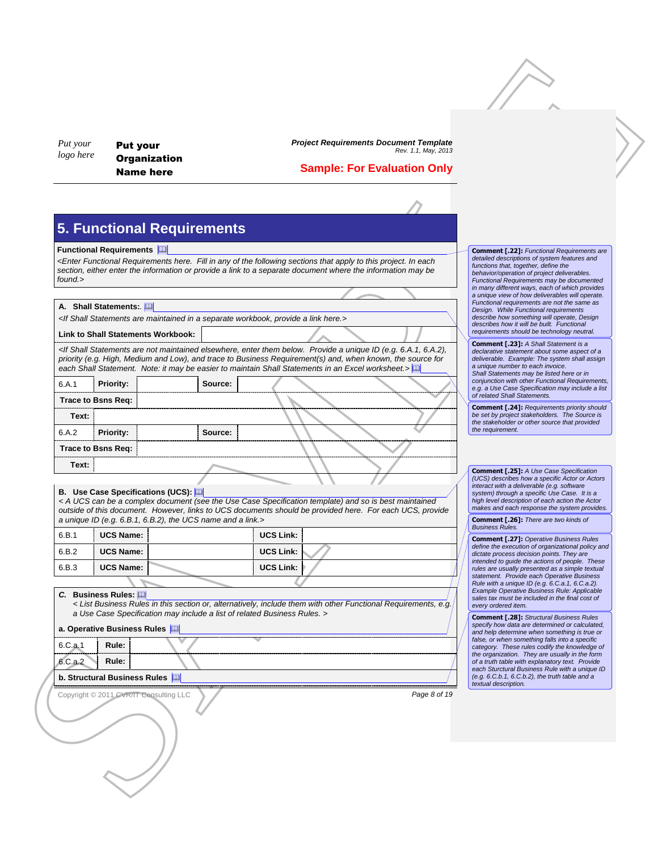### **Sample: For Evaluation Only**

## **5. Functional Requirements**

#### **Functional Requirements**

#### **A. Shall Statements:***.*

#### **Link to Shall Statements Workbook:**

|                                                                                                                       |         |                                                                                                                                                                                                                                                                                                                                                                                                            | <b>Sample: For Evaluation Only</b> |                                                                                                                                                                                                                                                                                         |  |
|-----------------------------------------------------------------------------------------------------------------------|---------|------------------------------------------------------------------------------------------------------------------------------------------------------------------------------------------------------------------------------------------------------------------------------------------------------------------------------------------------------------------------------------------------------------|------------------------------------|-----------------------------------------------------------------------------------------------------------------------------------------------------------------------------------------------------------------------------------------------------------------------------------------|--|
|                                                                                                                       |         |                                                                                                                                                                                                                                                                                                                                                                                                            |                                    |                                                                                                                                                                                                                                                                                         |  |
| <b>5. Functional Requirements</b>                                                                                     |         |                                                                                                                                                                                                                                                                                                                                                                                                            |                                    |                                                                                                                                                                                                                                                                                         |  |
| <b>Functional Requirements</b><br>found.>                                                                             |         | <enter any="" apply="" each<br="" fill="" following="" functional="" here.="" in="" of="" project.="" requirements="" sections="" that="" the="" this="" to="">section, either enter the information or provide a link to a separate document where the information may be</enter>                                                                                                                         |                                    | <b>Comment [.22]: Functional Requirements are</b><br>detailed descriptions of system features and<br>functions that, together, define the<br>behavior/operation of project deliverables.<br>Functional Requirements may be documented<br>in many different ways, each of which provides |  |
| A. Shall Statements:                                                                                                  |         |                                                                                                                                                                                                                                                                                                                                                                                                            |                                    | a unique view of how deliverables will operate.<br>Functional requirements are not the same as                                                                                                                                                                                          |  |
| <if a="" are="" here.="" in="" link="" maintained="" provide="" separate="" shall="" statements="" workbook,=""></if> |         |                                                                                                                                                                                                                                                                                                                                                                                                            |                                    | Design. While Functional requirements<br>describe how something will operate, Design<br>describes how it will be built. Functional                                                                                                                                                      |  |
| <b>Link to Shall Statements Workbook:</b>                                                                             |         |                                                                                                                                                                                                                                                                                                                                                                                                            |                                    | requirements should be technology neutral.                                                                                                                                                                                                                                              |  |
|                                                                                                                       |         | <if (e.g.="" 6.a.1,="" 6.a.2),<br="" a="" are="" below.="" elsewhere,="" enter="" id="" maintained="" not="" provide="" shall="" statements="" them="" unique="">priority (e.g. High, Medium and Low), and trace to Business Requirement(s) and, when known, the source for<br/>each Shall Statement. Note: it may be easier to maintain Shall Statements in an Excel worksheet.&gt;<math>\Box</math></if> |                                    | <b>Comment [.23]: A Shall Statement is a</b><br>declarative statement about some aspect of a<br>deliverable. Example: The system shall assign<br>a unique number to each invoice.<br>Shall Statements may be listed here or in                                                          |  |
| 6.A.1<br><b>Priority:</b>                                                                                             | Source: |                                                                                                                                                                                                                                                                                                                                                                                                            |                                    | conjunction with other Functional Requirements,<br>e.g. a Use Case Specification may include a list<br>of related Shall Statements.                                                                                                                                                     |  |
| Trace to Bsns Req:                                                                                                    |         |                                                                                                                                                                                                                                                                                                                                                                                                            |                                    | <b>Comment [.24]: Requirements priority should</b><br>be set by project stakeholders. The Source is                                                                                                                                                                                     |  |
| Text:<br>6.A.2<br>Priority:                                                                                           | Source: |                                                                                                                                                                                                                                                                                                                                                                                                            |                                    | the stakeholder or other source that provided<br>the requirement.                                                                                                                                                                                                                       |  |
| Trace to Bsns Req:                                                                                                    |         |                                                                                                                                                                                                                                                                                                                                                                                                            |                                    |                                                                                                                                                                                                                                                                                         |  |
| Text:                                                                                                                 |         |                                                                                                                                                                                                                                                                                                                                                                                                            |                                    |                                                                                                                                                                                                                                                                                         |  |
|                                                                                                                       |         |                                                                                                                                                                                                                                                                                                                                                                                                            |                                    | <b>Comment [.25]:</b> A Use Case Specification<br>(UCS) describes how a specific Actor or Actors<br>interact with a deliverable (e.g. software                                                                                                                                          |  |
| B. Use Case Specifications (UCS): [11]                                                                                |         | < A UCS can be a complex document (see the Use Case Specification template) and so is best maintained<br>outside of this document. However, links to UCS documents should be provided here. For each UCS, provide                                                                                                                                                                                          |                                    | system) through a specific Use Case. It is a<br>high level description of each action the Actor<br>makes and each response the system provides.                                                                                                                                         |  |
| a unique ID (e.g. 6.B.1, 6.B.2), the UCS name and a link.>                                                            |         |                                                                                                                                                                                                                                                                                                                                                                                                            |                                    | <b>Comment [.26]:</b> There are two kinds of<br><b>Business Rules.</b>                                                                                                                                                                                                                  |  |
| <b>UCS Name:</b><br>6.B.1                                                                                             |         | <b>UCS Link:</b>                                                                                                                                                                                                                                                                                                                                                                                           |                                    | <b>Comment [.27]: Operative Business Rules</b><br>define the execution of organizational policy and                                                                                                                                                                                     |  |
| 6.B.2<br><b>UCS Name:</b>                                                                                             |         | <b>UCS Link:</b>                                                                                                                                                                                                                                                                                                                                                                                           |                                    | dictate process decision points. They are<br>intended to guide the actions of people. These                                                                                                                                                                                             |  |
| 6.B.3<br><b>UCS Name:</b>                                                                                             |         | <b>UCS Link:</b>                                                                                                                                                                                                                                                                                                                                                                                           |                                    | rules are usually presented as a simple textual<br>statement. Provide each Operative Business<br>Rule with a unique ID (e.g. 6.C.a.1, 6.C.a.2).                                                                                                                                         |  |
| C. Business Rules: [11]                                                                                               |         | < List Business Rules in this section or, alternatively, include them with other Functional Requirements, e.g.                                                                                                                                                                                                                                                                                             |                                    | Example Operative Business Rule: Applicable<br>sales tax must be included in the final cost of<br>every ordered item.                                                                                                                                                                   |  |
| a Use Case Specification may include a list of related Business Rules. >                                              |         |                                                                                                                                                                                                                                                                                                                                                                                                            |                                    | <b>Comment [.28]:</b> Structural Business Rules<br>specify how data are determined or calculated,                                                                                                                                                                                       |  |
| a. Operative Business Rules                                                                                           |         |                                                                                                                                                                                                                                                                                                                                                                                                            |                                    | and help determine when something is true or<br>false, or when something falls into a specific                                                                                                                                                                                          |  |
| Rule:<br>6.C.a.1<br>6.C.a.2<br>Rule:                                                                                  |         |                                                                                                                                                                                                                                                                                                                                                                                                            |                                    | category. These rules codify the knowledge of<br>the organization. They are usually in the form<br>of a truth table with explanatory text. Provide                                                                                                                                      |  |
|                                                                                                                       |         |                                                                                                                                                                                                                                                                                                                                                                                                            |                                    | each Sturctural Business Rule with a unique ID<br>(e.g. $6.C.b.1$ , $6.C.b.2$ ), the truth table and a                                                                                                                                                                                  |  |
| b. Structural Business Rules [11]                                                                                     |         |                                                                                                                                                                                                                                                                                                                                                                                                            |                                    |                                                                                                                                                                                                                                                                                         |  |

#### **B. Use Case Specifications (UCS):**

| 6.B.1 | UCS Name:        | <b>UCS Link:</b> |  |
|-------|------------------|------------------|--|
| 6.B.2 | <b>UCS Name:</b> | <b>UCS Link:</b> |  |
| 6.B.3 | <b>UCS Name:</b> | <b>UCS Link:</b> |  |
|       |                  |                  |  |

#### *C.* **Business Rules:**

#### **a. Operative Business Rules**

#### **b. Structural Business Rules**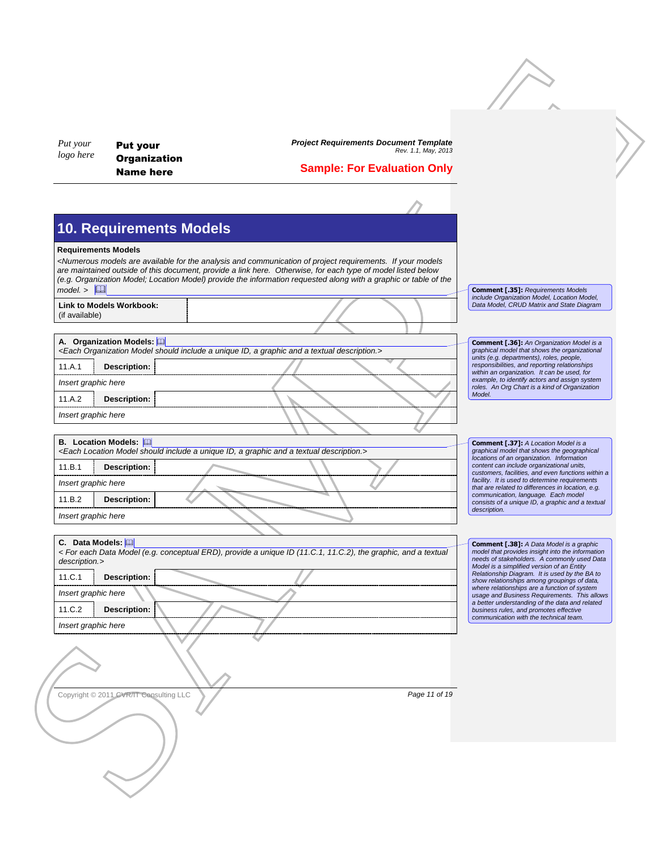## **Sample: For Evaluation Only**

# **10. Requirements Models**

#### **Requirements Models**

#### **A. Organization Models:**

|                     | <each a="" and="" description.="" graphic="" id,="" include="" model="" organization="" should="" textual="" unique=""></each> |  |  |  |  |  |
|---------------------|--------------------------------------------------------------------------------------------------------------------------------|--|--|--|--|--|
| 11.A.1              | Description:                                                                                                                   |  |  |  |  |  |
| Insert graphic here |                                                                                                                                |  |  |  |  |  |
| 11.A.2              | Description:                                                                                                                   |  |  |  |  |  |
| Insert graphic here |                                                                                                                                |  |  |  |  |  |
|                     |                                                                                                                                |  |  |  |  |  |

#### **B. Location Models:**

#### **C. Data Models:**

| Put your<br>logo here                   | <b>Put your</b>                         | <b>Project Requirements Document Template</b><br>Rev. 1.1, May, 2013                                                                                                                                                             |                                                                                                                                               |  |
|-----------------------------------------|-----------------------------------------|----------------------------------------------------------------------------------------------------------------------------------------------------------------------------------------------------------------------------------|-----------------------------------------------------------------------------------------------------------------------------------------------|--|
|                                         | <b>Organization</b><br><b>Name here</b> | <b>Sample: For Evaluation Only</b>                                                                                                                                                                                               |                                                                                                                                               |  |
|                                         |                                         |                                                                                                                                                                                                                                  |                                                                                                                                               |  |
|                                         |                                         |                                                                                                                                                                                                                                  |                                                                                                                                               |  |
|                                         | <b>10. Requirements Models</b>          |                                                                                                                                                                                                                                  |                                                                                                                                               |  |
| <b>Requirements Models</b>              |                                         | <numerous analysis="" and="" are="" available="" communication="" for="" if="" models="" models<="" of="" project="" requirements.="" td="" the="" your=""><td></td><td></td></numerous>                                         |                                                                                                                                               |  |
|                                         |                                         | are maintained outside of this document, provide a link here. Otherwise, for each type of model listed below<br>(e.g. Organization Model; Location Model) provide the information requested along with a graphic or table of the |                                                                                                                                               |  |
| model >                                 |                                         |                                                                                                                                                                                                                                  | <b>Comment [.35]: Requirements Models</b><br>include Organization Model, Location Model,                                                      |  |
| (if available)                          | <b>Link to Models Workbook:</b>         |                                                                                                                                                                                                                                  | Data Model, CRUD Matrix and State Diagram                                                                                                     |  |
|                                         |                                         |                                                                                                                                                                                                                                  |                                                                                                                                               |  |
|                                         | A. Organization Models: [11]            | <each a="" and="" description.="" graphic="" id,="" include="" model="" organization="" should="" textual="" unique=""></each>                                                                                                   | <b>Comment [.36]:</b> An Organization Model is a<br>graphical model that shows the organizational                                             |  |
| 11.A.1                                  | Description:                            |                                                                                                                                                                                                                                  | units (e.g. departments), roles, people,<br>responsibilities, and reporting relationships                                                     |  |
| Insert graphic here                     |                                         |                                                                                                                                                                                                                                  | within an organization. It can be used, for<br>example, to identify actors and assign system<br>roles. An Org Chart is a kind of Organization |  |
| 11.A.2                                  | Description:                            |                                                                                                                                                                                                                                  | Model.                                                                                                                                        |  |
| Insert graphic here                     |                                         |                                                                                                                                                                                                                                  |                                                                                                                                               |  |
|                                         |                                         |                                                                                                                                                                                                                                  |                                                                                                                                               |  |
|                                         |                                         |                                                                                                                                                                                                                                  |                                                                                                                                               |  |
| <b>B.</b> Location Models: [11]         |                                         | <each a="" and="" description.="" graphic="" id,="" include="" location="" model="" should="" textual="" unique=""></each>                                                                                                       | Comment [.37]: A Location Model is a<br>graphical model that shows the geographical<br>locations of an organization. Information              |  |
|                                         | Description:                            |                                                                                                                                                                                                                                  | content can include organizational units,<br>customers, facilities, and even functions within a                                               |  |
|                                         |                                         |                                                                                                                                                                                                                                  | facility. It is used to determine requirements<br>that are related to differences in location, e.g.<br>communication, language. Each model    |  |
| 11.B.1<br>Insert graphic here<br>11.B.2 | <b>Description:</b>                     |                                                                                                                                                                                                                                  | consists of a unique ID, a graphic and a textual<br>description.                                                                              |  |
| Insert graphic here                     |                                         |                                                                                                                                                                                                                                  |                                                                                                                                               |  |
| C. Data Models: [11]                    |                                         |                                                                                                                                                                                                                                  | <b>Comment [.38]:</b> A Data Model is a graphic                                                                                               |  |
| description.>                           |                                         | < For each Data Model (e.g. conceptual ERD), provide a unique ID (11.C.1, 11.C.2), the graphic, and a textual                                                                                                                    | model that provides insight into the information<br>needs of stakeholders. A commonly used Data<br>Model is a simplified version of an Entity |  |
|                                         | <b>Description:</b>                     |                                                                                                                                                                                                                                  | Relationship Diagram. It is used by the BA to<br>show relationships among groupings of data,                                                  |  |
| 11.C.1<br>Insert graphic here           |                                         |                                                                                                                                                                                                                                  | where relationships are a function of system<br>usage and Business Requirements. This allows                                                  |  |
| 11.C.2                                  | Description:                            |                                                                                                                                                                                                                                  | a better understanding of the data and related<br>business rules, and promotes effective<br>communication with the technical team.            |  |
|                                         |                                         |                                                                                                                                                                                                                                  |                                                                                                                                               |  |
|                                         |                                         |                                                                                                                                                                                                                                  |                                                                                                                                               |  |
|                                         |                                         |                                                                                                                                                                                                                                  |                                                                                                                                               |  |
|                                         | Copyright © 2011 CVR/IT Consulting LLC  | Page 11 of 19                                                                                                                                                                                                                    |                                                                                                                                               |  |
| Insert graphic here                     |                                         |                                                                                                                                                                                                                                  |                                                                                                                                               |  |
|                                         |                                         |                                                                                                                                                                                                                                  |                                                                                                                                               |  |

| Copyright © 2011 CVR/IT Consulting LLC |  |
|----------------------------------------|--|
|----------------------------------------|--|